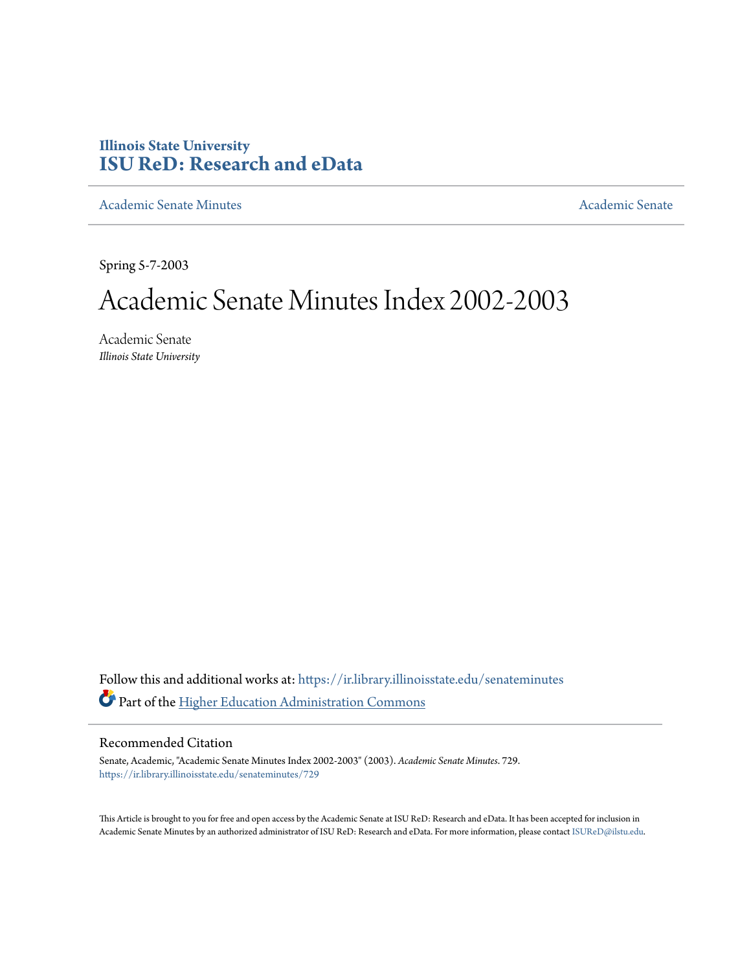### **Illinois State University [ISU ReD: Research and eData](https://ir.library.illinoisstate.edu?utm_source=ir.library.illinoisstate.edu%2Fsenateminutes%2F729&utm_medium=PDF&utm_campaign=PDFCoverPages)**

[Academic Senate Minutes](https://ir.library.illinoisstate.edu/senateminutes?utm_source=ir.library.illinoisstate.edu%2Fsenateminutes%2F729&utm_medium=PDF&utm_campaign=PDFCoverPages) [Academic Senate](https://ir.library.illinoisstate.edu/senate?utm_source=ir.library.illinoisstate.edu%2Fsenateminutes%2F729&utm_medium=PDF&utm_campaign=PDFCoverPages) Academic Senate

Spring 5-7-2003

# Academic Senate Minutes Index 2002-2003

Academic Senate *Illinois State University*

Follow this and additional works at: [https://ir.library.illinoisstate.edu/senateminutes](https://ir.library.illinoisstate.edu/senateminutes?utm_source=ir.library.illinoisstate.edu%2Fsenateminutes%2F729&utm_medium=PDF&utm_campaign=PDFCoverPages) Part of the [Higher Education Administration Commons](http://network.bepress.com/hgg/discipline/791?utm_source=ir.library.illinoisstate.edu%2Fsenateminutes%2F729&utm_medium=PDF&utm_campaign=PDFCoverPages)

#### Recommended Citation

Senate, Academic, "Academic Senate Minutes Index 2002-2003" (2003). *Academic Senate Minutes*. 729. [https://ir.library.illinoisstate.edu/senateminutes/729](https://ir.library.illinoisstate.edu/senateminutes/729?utm_source=ir.library.illinoisstate.edu%2Fsenateminutes%2F729&utm_medium=PDF&utm_campaign=PDFCoverPages)

This Article is brought to you for free and open access by the Academic Senate at ISU ReD: Research and eData. It has been accepted for inclusion in Academic Senate Minutes by an authorized administrator of ISU ReD: Research and eData. For more information, please contact [ISUReD@ilstu.edu.](mailto:ISUReD@ilstu.edu)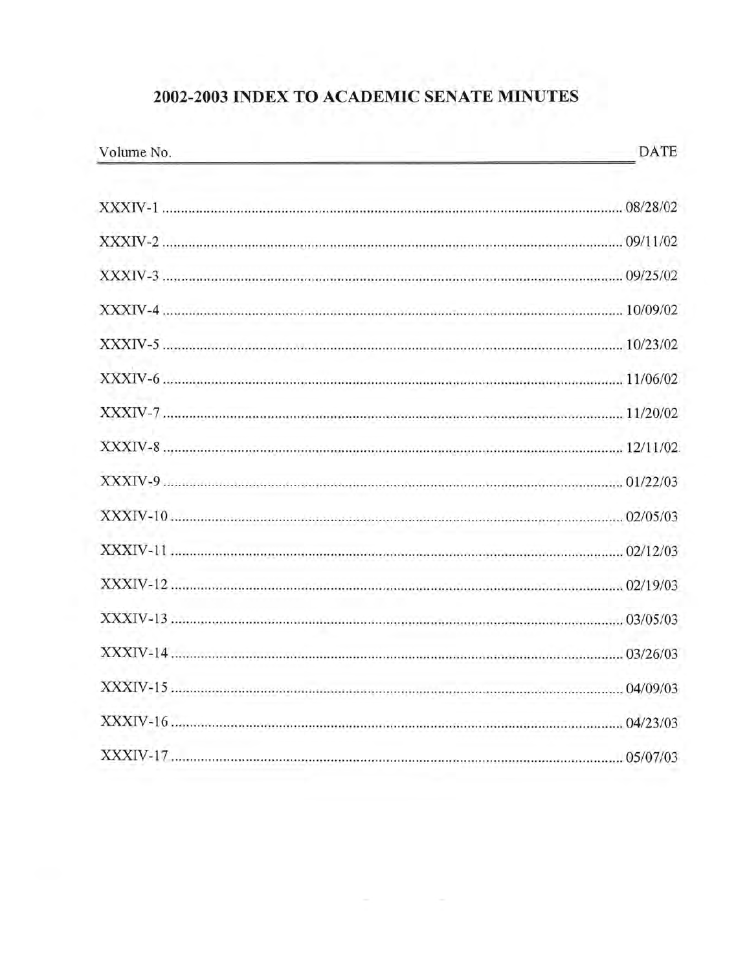# 2002-2003 INDEX TO ACADEMIC SENATE MINUTES

| Volume No. | DATE |
|------------|------|
|            |      |
|            |      |
|            |      |
|            |      |
|            |      |
|            |      |
|            |      |
|            |      |
|            |      |
|            |      |
|            |      |
|            |      |
|            |      |
|            |      |
|            |      |
|            |      |
|            |      |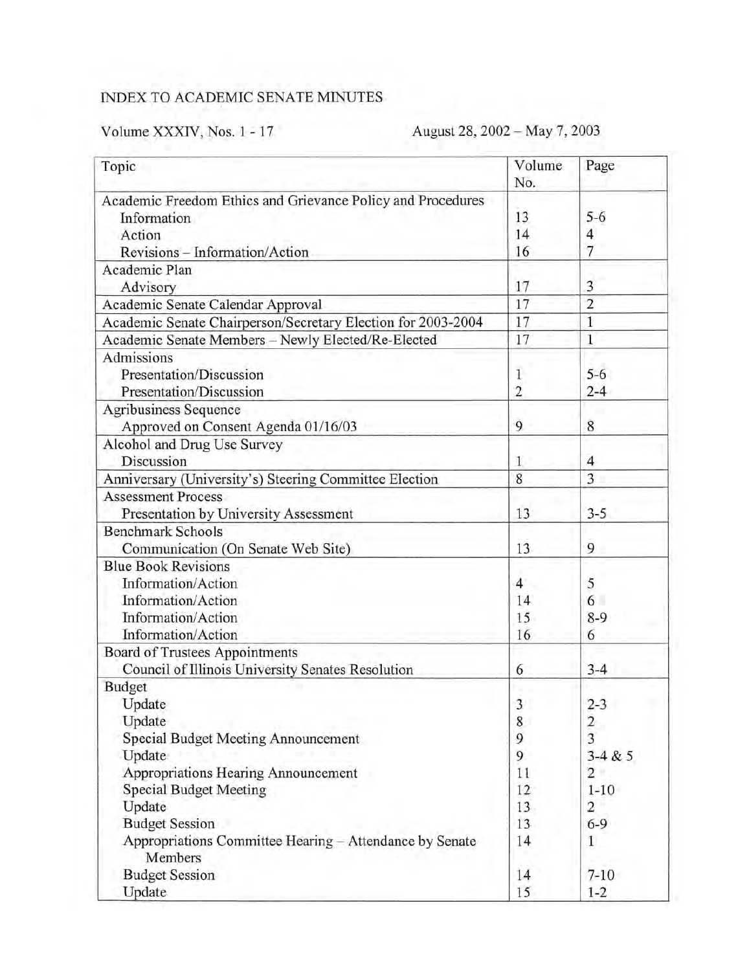## INDEX TO ACADEMIC SENATE MINUTES

# Volume XXXIV, Nos. 1 - 17 August 28, 2002 - May 7, 2003

| Topic                                                              | Volume<br>No.  | Page                    |
|--------------------------------------------------------------------|----------------|-------------------------|
| Academic Freedom Ethics and Grievance Policy and Procedures        |                |                         |
| Information                                                        | 13             | $5 - 6$                 |
| Action                                                             | 14             | 4                       |
| Revisions - Information/Action                                     | 16             | $\overline{7}$          |
| Academic Plan                                                      |                |                         |
| Advisory                                                           | 17             | 3                       |
| Academic Senate Calendar Approval                                  | 17             | $\overline{2}$          |
| Academic Senate Chairperson/Secretary Election for 2003-2004       | 17             | $\overline{1}$          |
| Academic Senate Members - Newly Elected/Re-Elected                 | 17             | $\mathbf{1}$            |
| Admissions                                                         |                |                         |
| Presentation/Discussion                                            |                | $5 - 6$                 |
| Presentation/Discussion                                            | $\overline{2}$ | $2 - 4$                 |
| Agribusiness Sequence                                              |                |                         |
| Approved on Consent Agenda 01/16/03                                | 9              | 8                       |
| Alcohol and Drug Use Survey                                        |                |                         |
| Discussion                                                         | 1              | 4                       |
| Anniversary (University's) Steering Committee Election             | $\overline{8}$ | $\overline{3}$          |
| <b>Assessment Process</b>                                          |                |                         |
| Presentation by University Assessment                              | 13             | $3 - 5$                 |
| <b>Benchmark Schools</b>                                           |                |                         |
| Communication (On Senate Web Site)                                 | 13             | 9                       |
| <b>Blue Book Revisions</b>                                         |                |                         |
| Information/Action                                                 | $\overline{4}$ | 5                       |
| Information/Action                                                 | 14             | 6                       |
| Information/Action                                                 | 15             | $8-9$                   |
| Information/Action                                                 | 16             | 6                       |
| Board of Trustees Appointments                                     |                |                         |
| Council of Illinois University Senates Resolution                  | 6              | $3 - 4$                 |
| <b>Budget</b>                                                      |                |                         |
| Update                                                             | 3              | $2 - 3$                 |
| Update                                                             | 8              | $\overline{\mathbf{c}}$ |
| Special Budget Meeting Announcement                                | 9              | $\overline{3}$          |
| Update                                                             | 9              | $3 - 4 & 5$             |
| Appropriations Hearing Announcement                                | 11             | $\overline{2}$          |
| <b>Special Budget Meeting</b>                                      | 12             | $1 - 10$                |
| Update                                                             | 13             | $\overline{c}$          |
| <b>Budget Session</b>                                              | 13             | $6 - 9$                 |
| Appropriations Committee Hearing - Attendance by Senate<br>Members | 14             | 1                       |
| <b>Budget Session</b>                                              | 14             | $7 - 10$                |
| Update                                                             | 15             | $1 - 2$                 |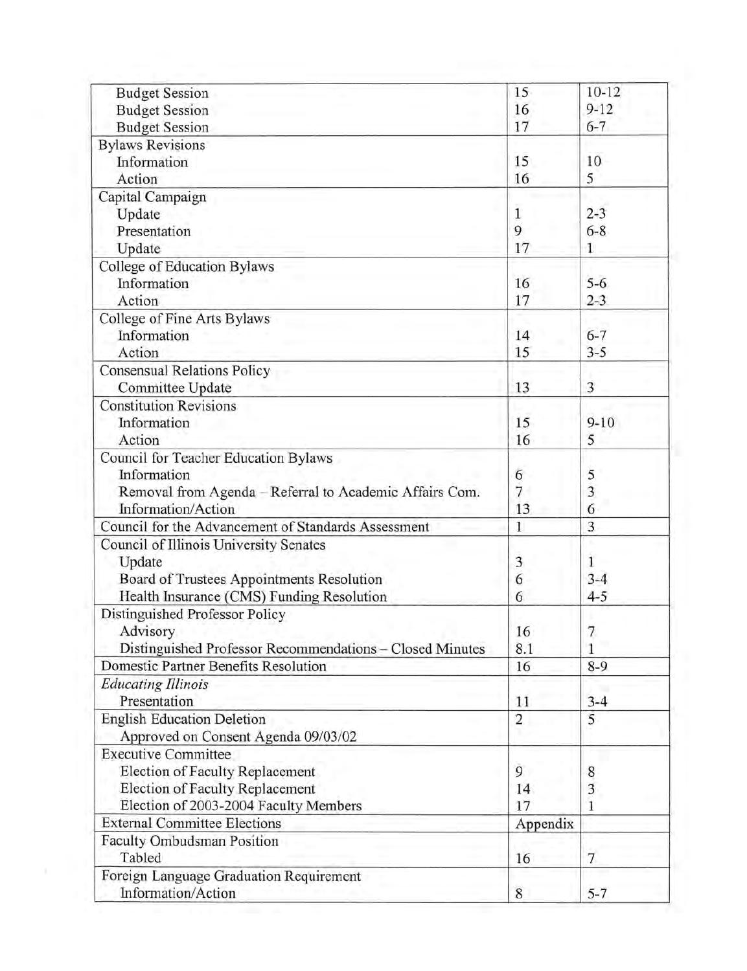| <b>Budget Session</b>                                                                            | 15              | $10-12$        |
|--------------------------------------------------------------------------------------------------|-----------------|----------------|
| <b>Budget Session</b>                                                                            | 16              | $9 - 12$       |
| <b>Budget Session</b>                                                                            | 17              | $6 - 7$        |
| <b>Bylaws Revisions</b><br>Information                                                           | 15              | 10             |
| Action                                                                                           | 16              | 5              |
| Capital Campaign                                                                                 |                 |                |
| Update                                                                                           | 1               | $2 - 3$        |
| Presentation                                                                                     | 9               | $6 - 8$        |
| Update                                                                                           | 17              | 1              |
| College of Education Bylaws                                                                      |                 |                |
| Information                                                                                      | 16              | $5 - 6$        |
| Action                                                                                           | 17              | $2 - 3$        |
| College of Fine Arts Bylaws                                                                      |                 |                |
| Information                                                                                      | 14              | $6 - 7$        |
| Action                                                                                           | 15              | $3 - 5$        |
| <b>Consensual Relations Policy</b>                                                               |                 |                |
| Committee Update                                                                                 | 13              | 3              |
| <b>Constitution Revisions</b>                                                                    |                 |                |
| Information                                                                                      | 15              | $9 - 10$       |
| Action                                                                                           | 16              | 5              |
| Council for Teacher Education Bylaws                                                             |                 |                |
| Information                                                                                      | 6               | 5              |
| Removal from Agenda - Referral to Academic Affairs Com.                                          | $7\overline{ }$ | 3              |
| Information/Action                                                                               | 13              | 6              |
| Council for the Advancement of Standards Assessment                                              | $\mathbf{1}$    | 3              |
| Council of Illinois University Senates                                                           |                 |                |
| Update                                                                                           | 3               | 1              |
| Board of Trustees Appointments Resolution                                                        | 6               | $3 - 4$        |
| Health Insurance (CMS) Funding Resolution                                                        | 6               | $4 - 5$        |
| Distinguished Professor Policy                                                                   |                 |                |
| Advisory                                                                                         | 16              | 7              |
| Distinguished Professor Recommendations - Closed Minutes<br>Domestic Partner Benefits Resolution | 8.1             | 1              |
|                                                                                                  | 16              | $8-9$          |
| <b>Educating Illinois</b><br>Presentation                                                        | 11              | $3 - 4$        |
| <b>English Education Deletion</b>                                                                | $\overline{2}$  | 5              |
| Approved on Consent Agenda 09/03/02                                                              |                 |                |
| <b>Executive Committee</b>                                                                       |                 |                |
| Election of Faculty Replacement                                                                  | 9               | 8              |
| Election of Faculty Replacement                                                                  | 14              | 3              |
| Election of 2003-2004 Faculty Members                                                            | 17              | 1              |
| <b>External Committee Elections</b>                                                              | Appendix        |                |
| Faculty Ombudsman Position                                                                       |                 |                |
| Tabled                                                                                           | 16              | $\overline{7}$ |
| Foreign Language Graduation Requirement                                                          |                 |                |
| Information/Action                                                                               | 8               | $5 - 7$        |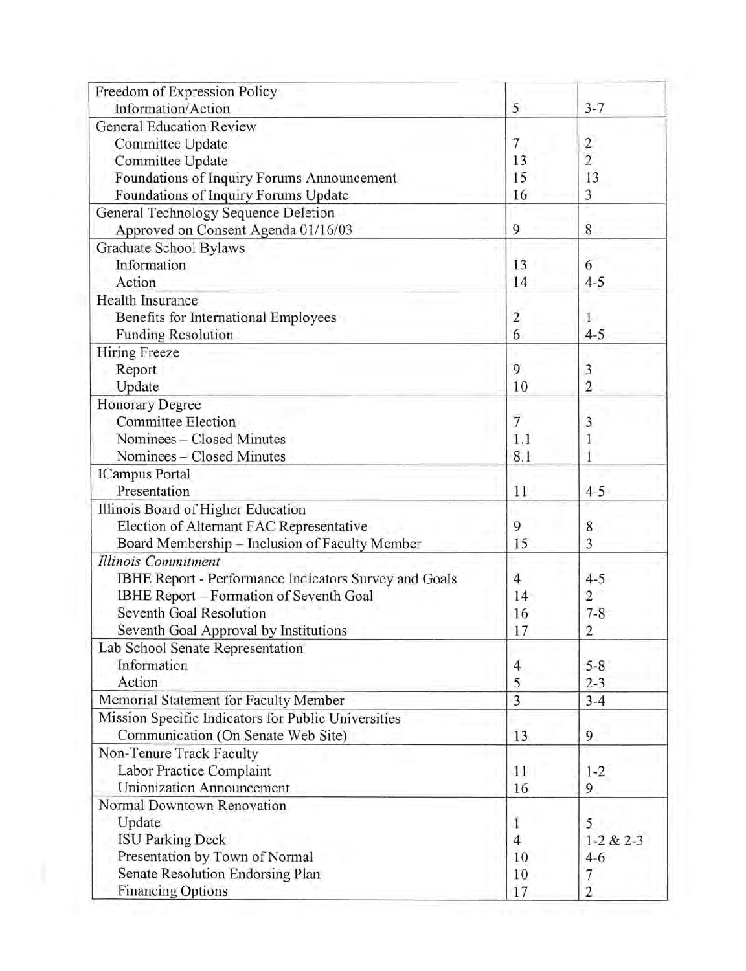| 5   | $3 - 7$                                               |
|-----|-------------------------------------------------------|
|     |                                                       |
| 7   | $\overline{2}$                                        |
| 13  | $\overline{2}$                                        |
| 15  | 13                                                    |
| 16  | 3                                                     |
|     |                                                       |
| 9   | $8\,$                                                 |
|     |                                                       |
| 13  | 6                                                     |
| 14  | $4 - 5$                                               |
|     |                                                       |
| 2   | 1                                                     |
| 6   | $4 - 5$                                               |
|     |                                                       |
| 9   | 3                                                     |
| 10  | $\overline{2}$                                        |
|     |                                                       |
| 7   | 3                                                     |
| 1.1 | 1                                                     |
| 8.1 | 1                                                     |
|     |                                                       |
| 11  | $4 - 5$                                               |
|     |                                                       |
| 9   | 8                                                     |
| 15  | 3                                                     |
|     |                                                       |
| 4   | $4 - 5$                                               |
| 14  | $\overline{2}$                                        |
|     | $7 - 8$                                               |
|     | $\overline{2}$                                        |
|     |                                                       |
|     | $5 - 8$                                               |
|     | $2 - 3$                                               |
| 3   | $3 - 4$                                               |
|     |                                                       |
|     | 9                                                     |
|     |                                                       |
|     | $1 - 2$                                               |
|     | 9                                                     |
|     |                                                       |
|     | 5                                                     |
|     | $1-2 & 2-3$                                           |
|     | $4 - 6$                                               |
|     | 7                                                     |
| 17  | $\overline{c}$                                        |
|     | 16<br>17<br>4<br>5<br>13<br>11<br>16<br>4<br>10<br>10 |